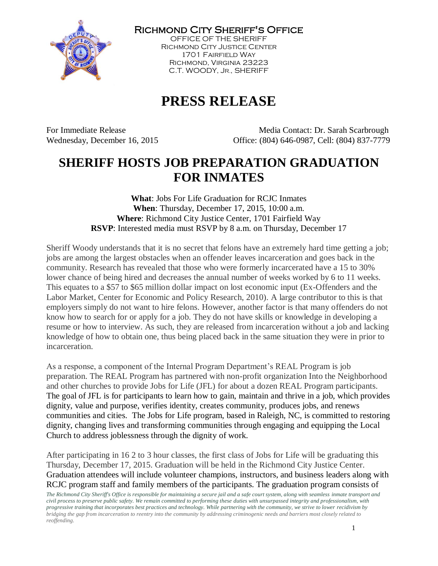

Richmond City Sheriff's Office

OFFICE OF THE SHERIFF Richmond City Justice Center 1701 Fairfield Way Richmond, Virginia 23223 C.T. WOODY, JR., SHERIFF

## **PRESS RELEASE**

For Immediate Release Media Contact: Dr. Sarah Scarbrough Wednesday, December 16, 2015 Office: (804) 646-0987, Cell: (804) 837-7779

## **SHERIFF HOSTS JOB PREPARATION GRADUATION FOR INMATES**

**What**: Jobs For Life Graduation for RCJC Inmates **When**: Thursday, December 17, 2015, 10:00 a.m. **Where**: Richmond City Justice Center, 1701 Fairfield Way **RSVP**: Interested media must RSVP by 8 a.m. on Thursday, December 17

Sheriff Woody understands that it is no secret that felons have an extremely hard time getting a job; jobs are among the largest obstacles when an offender leaves incarceration and goes back in the community. Research has revealed that those who were formerly incarcerated have a 15 to 30% lower chance of being hired and decreases the annual number of weeks worked by 6 to 11 weeks. This equates to a \$57 to \$65 million dollar impact on lost economic input (Ex-Offenders and the Labor Market, Center for Economic and Policy Research, 2010). A large contributor to this is that employers simply do not want to hire felons. However, another factor is that many offenders do not know how to search for or apply for a job. They do not have skills or knowledge in developing a resume or how to interview. As such, they are released from incarceration without a job and lacking knowledge of how to obtain one, thus being placed back in the same situation they were in prior to incarceration.

As a response, a component of the Internal Program Department's REAL Program is job preparation. The REAL Program has partnered with non-profit organization Into the Neighborhood and other churches to provide Jobs for Life (JFL) for about a dozen REAL Program participants. The goal of JFL is for participants to learn how to gain, maintain and thrive in a job, which provides dignity, value and purpose, verifies identity, creates community, produces jobs, and renews communities and cities. The Jobs for Life program, based in Raleigh, NC, is committed to restoring dignity, changing lives and transforming communities through engaging and equipping the Local Church to address joblessness through the dignity of work.

After participating in 16 2 to 3 hour classes, the first class of Jobs for Life will be graduating this Thursday, December 17, 2015. Graduation will be held in the Richmond City Justice Center. Graduation attendees will include volunteer champions, instructors, and business leaders along with RCJC program staff and family members of the participants. The graduation program consists of

*The Richmond City Sheriff's Office is responsible for maintaining a secure jail and a safe court system, along with seamless inmate transport and civil process to preserve public safety. We remain committed to performing these duties with unsurpassed integrity and professionalism, with progressive training that incorporates best practices and technology. While partnering with the community, we strive to lower recidivism by bridging the gap from incarceration to reentry into the community by addressing criminogenic needs and barriers most closely related to reoffending.*